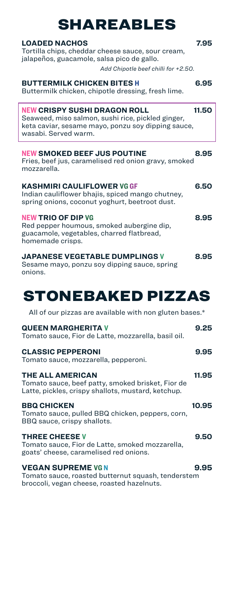| <b>LOADED NACHOS</b><br>Tortilla chips, cheddar cheese sauce, sour cream,<br>jalapeños, guacamole, salsa pico de gallo.<br>Add Chipotle beef chilli for +2.50.         | 7.95  |
|------------------------------------------------------------------------------------------------------------------------------------------------------------------------|-------|
| <b>BUTTERMILK CHICKEN BITES H</b><br>Buttermilk chicken, chipotle dressing, fresh lime.                                                                                | 6.95  |
| <b>NEW CRISPY SUSHI DRAGON ROLL</b><br>Seaweed, miso salmon, sushi rice, pickled ginger,<br>keta caviar, sesame mayo, ponzu soy dipping sauce,<br>wasabi. Served warm. | 11.50 |
| <b>NEW SMOKED BEEF JUS POUTINE</b><br>Fries, beef jus, caramelised red onion gravy, smoked<br>mozzarella.                                                              | 8.95  |
| <b>KASHMIRI CAULIFLOWER VG GF</b><br>Indian cauliflower bhajis, spiced mango chutney,<br>spring onions, coconut yoghurt, beetroot dust.                                | 6.50  |
| <b>NEW TRIO OF DIP VG</b><br>Red pepper houmous, smoked aubergine dip,<br>guacamole, vegetables, charred flatbread,<br>homemade crisps.                                | 8.95  |
| <b>JAPANESE VEGETABLE DUMPLINGS V</b><br>Sesame mayo, ponzu soy dipping sauce, spring<br>onions.                                                                       | 8.95  |

# STONEBAKED PIZZAS

All of our pizzas are available with non gluten bases.\*

| <b>QUEEN MARGHERITA V</b><br>Tomato sauce, Fior de Latte, mozzarella, basil oil.                                                   | 9.25  |
|------------------------------------------------------------------------------------------------------------------------------------|-------|
| <b>CLASSIC PEPPERONI</b><br>Tomato sauce, mozzarella, pepperoni.                                                                   | 9.95  |
| <b>THE ALL AMERICAN</b><br>Tomato sauce, beef patty, smoked brisket, Fior de<br>Latte, pickles, crispy shallots, mustard, ketchup. | 11.95 |
| <b>BBQ CHICKEN</b><br>Tomato sauce, pulled BBQ chicken, peppers, corn,<br>BBQ sauce, crispy shallots.                              | 10.95 |
| <b>THREE CHEESE V</b><br>Tomato sauce, Fior de Latte, smoked mozzarella,<br>goats' cheese, caramelised red onions.                 | 9.50  |
| <b>VEGAN SUPREME VG N</b><br>Tomato sauce, roasted butternut squash, tenderstem<br>broccoli, vegan cheese, roasted hazelnuts.      | 9.95  |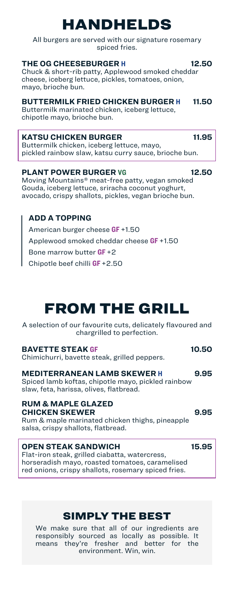# HANDHELDS

All burgers are served with our signature rosemary spiced fries.

#### **THE OG CHEESEBURGER H 12.50**

Chuck & short-rib patty, Applewood smoked cheddar cheese, iceberg lettuce, pickles, tomatoes, onion, mayo, brioche bun.

### **BUTTERMILK FRIED CHICKEN BURGER H 11.50**

Buttermilk marinated chicken, iceberg lettuce, chipotle mayo, brioche bun.

### **KATSU CHICKEN BURGER 11.95**

Buttermilk chicken, iceberg lettuce, mayo, pickled rainbow slaw, katsu curry sauce, brioche bun.

### **PLANT POWER BURGER VG 12.50**

Moving Mountains® meat-free patty, vegan smoked Gouda, iceberg lettuce, sriracha coconut yoghurt, avocado, crispy shallots, pickles, vegan brioche bun.

## **ADD A TOPPING**

American burger cheese **GF** +1.50 Applewood smoked cheddar cheese **GF** +1.50 Bone marrow butter **GF** +2 Chipotle beef chilli **GF** +2.50

# FROM THE GRILL

A selection of our favourite cuts, delicately flavoured and chargrilled to perfection.

#### **BAVETTE STEAK GF 10.50**

Chimichurri, bavette steak, grilled peppers.

#### **MEDITERRANEAN LAMB SKEWER H 9.95**

Spiced lamb koftas, chipotle mayo, pickled rainbow slaw, feta, harissa, olives, flatbread.

#### **RUM & MAPLE GLAZED CHICKEN SKEWER 9.95**

Rum & maple marinated chicken thighs, pineapple salsa, crispy shallots, flatbread.

### **OPEN STEAK SANDWICH 15.95**

Flat-iron steak, grilled ciabatta, watercress, horseradish mayo, roasted tomatoes, caramelised red onions, crispy shallots, rosemary spiced fries.

## SIMPLY THE BEST

We make sure that all of our ingredients are responsibly sourced as locally as possible. It means they're fresher and better for the environment. Win, win.